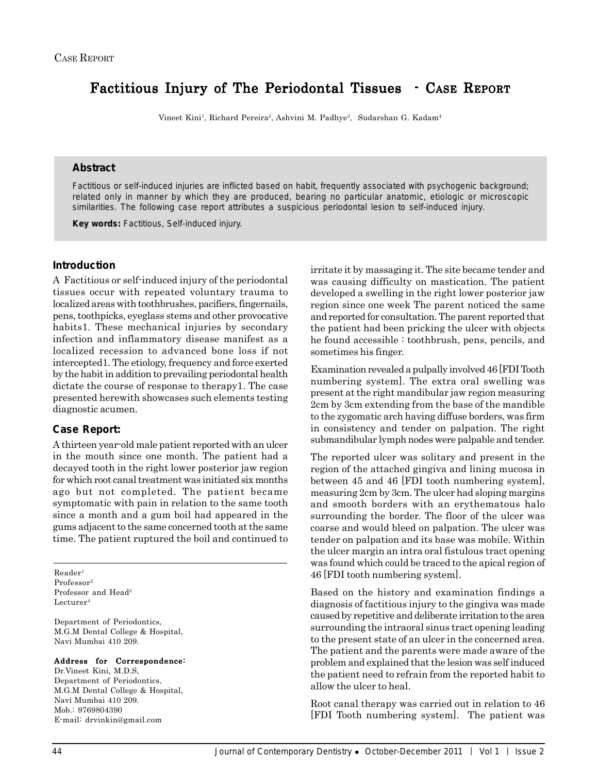# Factitious Injury of The Periodontal Tissues - CASE REPORT

Vineet Kini<sup>1</sup>, Richard Pereira<sup>2</sup>, Ashvini M. Padhye<sup>3</sup>, Sudarshan G. Kadam<sup>4</sup>

## **Abstract**

Factitious or self-induced injuries are inflicted based on habit, frequently associated with psychogenic background; related only in manner by which they are produced, bearing no particular anatomic, etiologic or microscopic similarities. The following case report attributes a suspicious periodontal lesion to self-induced injury.

**Key words:** Factitious, Self-induced injury.

## **Introduction**

A Factitious or self-induced injury of the periodontal tissues occur with repeated voluntary trauma to localized areas with toothbrushes, pacifiers, fingernails, pens, toothpicks, eyeglass stems and other provocative habits1. These mechanical injuries by secondary infection and inflammatory disease manifest as a localized recession to advanced bone loss if not intercepted1. The etiology, frequency and force exerted by the habit in addition to prevailing periodontal health dictate the course of response to therapy1. The case presented herewith showcases such elements testing diagnostic acumen.

## **Case Report:**

A thirteen year-old male patient reported with an ulcer in the mouth since one month. The patient had a decayed tooth in the right lower posterior jaw region for which root canal treatment was initiated six months ago but not completed. The patient became symptomatic with pain in relation to the same tooth since a month and a gum boil had appeared in the gums adjacent to the same concerned tooth at the same time. The patient ruptured the boil and continued to

 $Reader<sup>1</sup>$ Professor2 Professor and Head<sup>3</sup>  $L$ ecturer<sup>4</sup>

Department of Periodontics, M.G.M Dental College & Hospital, Navi Mumbai 410 209.

#### Address for Correspondence:

Dr.Vineet Kini, M.D.S, Department of Periodontics, M.G.M Dental College & Hospital, Navi Mumbai 410 209. Mob.: 9769804390 E-mail: drvinkin@gmail.com

irritate it by massaging it. The site became tender and was causing difficulty on mastication. The patient developed a swelling in the right lower posterior jaw region since one week The parent noticed the same and reported for consultation. The parent reported that the patient had been pricking the ulcer with objects he found accessible : toothbrush, pens, pencils, and sometimes his finger.

Examination revealed a pulpally involved 46 [FDI Tooth numbering system]. The extra oral swelling was present at the right mandibular jaw region measuring 2cm by 3cm extending from the base of the mandible to the zygomatic arch having diffuse borders, was firm in consistency and tender on palpation. The right submandibular lymph nodes were palpable and tender.

The reported ulcer was solitary and present in the region of the attached gingiva and lining mucosa in between 45 and 46 [FDI tooth numbering system], measuring 2cm by 3cm. The ulcer had sloping margins and smooth borders with an erythematous halo surrounding the border. The floor of the ulcer was coarse and would bleed on palpation. The ulcer was tender on palpation and its base was mobile. Within the ulcer margin an intra oral fistulous tract opening was found which could be traced to the apical region of 46 [FDI tooth numbering system].

Based on the history and examination findings a diagnosis of factitious injury to the gingiva was made caused by repetitive and deliberate irritation to the area surrounding the intraoral sinus tract opening leading to the present state of an ulcer in the concerned area. The patient and the parents were made aware of the problem and explained that the lesion was self induced the patient need to refrain from the reported habit to allow the ulcer to heal.

Root canal therapy was carried out in relation to 46 [FDI Tooth numbering system]. The patient was